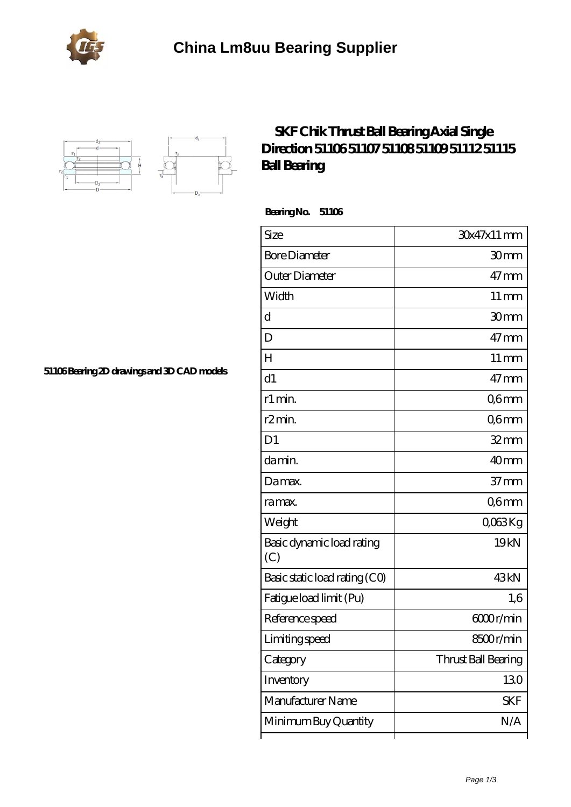



## **[SKF Chik Thrust Ball Bearing Axial Single](https://portalesinmobiliariosinternacionales.com/skf-51106-bearing/) [Direction 51106 51107 51108 51109 51112 51115](https://portalesinmobiliariosinternacionales.com/skf-51106-bearing/) [Ball Bearing](https://portalesinmobiliariosinternacionales.com/skf-51106-bearing/)**

 **Bearing No. 51106**

ľ

| Size                             | 30x47x11 mm         |
|----------------------------------|---------------------|
| <b>Bore Diameter</b>             | 30mm                |
| Outer Diameter                   | $47 \text{mm}$      |
| Width                            | $11 \,\mathrm{mm}$  |
| d                                | 30mm                |
| D                                | $47 \text{mm}$      |
| Н                                | $11 \,\mathrm{mm}$  |
| d1                               | $47 \text{mm}$      |
| r1 min.                          | Q6mm                |
| r <sub>2</sub> min.              | Q6mm                |
| D <sub>1</sub>                   | $32$ mm             |
| da min.                          | 40 <sub>mm</sub>    |
| Damax.                           | 37 <sub>mm</sub>    |
| ra max.                          | Q6mm                |
| Weight                           | QO63Kg              |
| Basic dynamic load rating<br>(C) | 19 <sub>kN</sub>    |
| Basic static load rating (CO)    | 43kN                |
| Fatigue load limit (Pu)          | 1,6                 |
| Reference speed                  | 6000r/min           |
| Limiting speed                   | 8500r/min           |
| Category                         | Thrust Ball Bearing |
| Inventory                        | 130                 |
| Manufacturer Name                | <b>SKF</b>          |
| Minimum Buy Quantity             | N/A                 |

┱

**[51106 Bearing 2D drawings and 3D CAD models](https://portalesinmobiliariosinternacionales.com/pic-667251.html)**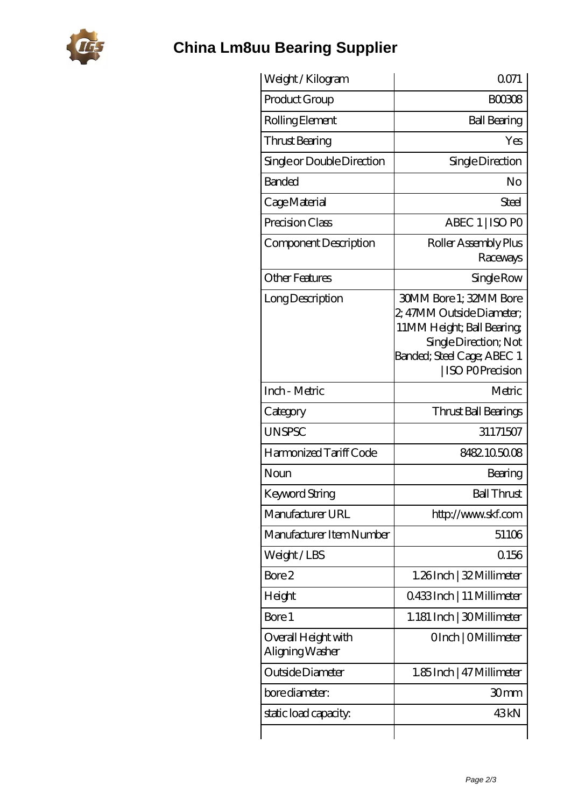

## **[China Lm8uu Bearing Supplier](https://portalesinmobiliariosinternacionales.com)**

| Weight /Kilogram                       | 0071                                                                                                                                                                      |
|----------------------------------------|---------------------------------------------------------------------------------------------------------------------------------------------------------------------------|
| Product Group                          | <b>BOO308</b>                                                                                                                                                             |
| Rolling Element                        | <b>Ball Bearing</b>                                                                                                                                                       |
| Thrust Bearing                         | Yes                                                                                                                                                                       |
| Single or Double Direction             | Single Direction                                                                                                                                                          |
| <b>Banded</b>                          | No                                                                                                                                                                        |
| Cage Material                          | Steel                                                                                                                                                                     |
| Precision Class                        | ABEC 1   ISO PO                                                                                                                                                           |
| Component Description                  | Roller Assembly Plus<br>Raceways                                                                                                                                          |
| Other Features                         | Single Row                                                                                                                                                                |
| Long Description                       | <b>30MM Bore 1; 32MM Bore</b><br>2, 47MM Outside Diameter;<br>11MM Height; Ball Bearing;<br>Single Direction; Not<br>Banded; Steel Cage; ABEC 1<br><b>ISO POPrecision</b> |
| Inch - Metric                          | Metric                                                                                                                                                                    |
| Category                               | Thrust Ball Bearings                                                                                                                                                      |
| <b>UNSPSC</b>                          | 31171507                                                                                                                                                                  |
| Harmonized Tariff Code                 | 8482.105008                                                                                                                                                               |
| Noun                                   | Bearing                                                                                                                                                                   |
| <b>Keyword String</b>                  | <b>Ball Thrust</b>                                                                                                                                                        |
| Manufacturer URL                       | http://www.skf.com                                                                                                                                                        |
| Manufacturer Item Number               | 51106                                                                                                                                                                     |
| Weight/LBS                             | 0.156                                                                                                                                                                     |
| Bore 2                                 | 1.26Inch   32 Millimeter                                                                                                                                                  |
| Height                                 | Q433Inch   11 Millimeter                                                                                                                                                  |
| Bore 1                                 | 1.181 Inch   30 Millimeter                                                                                                                                                |
| Overall Height with<br>Aligning Washer | OInch   OMillimeter                                                                                                                                                       |
| Outside Diameter                       | 1.85 Inch   47 Millimeter                                                                                                                                                 |
| bore diameter:                         | 30mm                                                                                                                                                                      |
| static load capacity:                  | 43kN                                                                                                                                                                      |
|                                        |                                                                                                                                                                           |